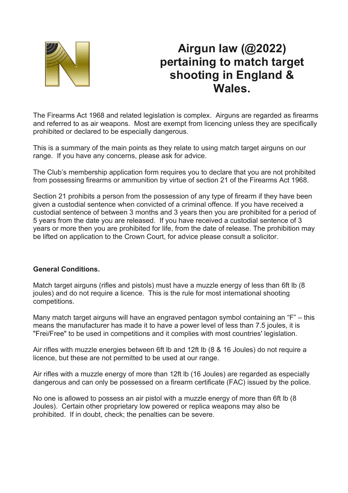

# **Airgun law (@2022) pertaining to match target shooting in England & Wales.**

The Firearms Act 1968 and related legislation is complex. Airguns are regarded as firearms and referred to as air weapons. Most are exempt from licencing unless they are specifically prohibited or declared to be especially dangerous.

This is a summary of the main points as they relate to using match target airguns on our range. If you have any concerns, please ask for advice.

The Club's membership application form requires you to declare that you are not prohibited from possessing firearms or ammunition by virtue of section 21 of the Firearms Act 1968.

Section 21 prohibits a person from the possession of any type of firearm if they have been given a custodial sentence when convicted of a criminal offence. If you have received a custodial sentence of between 3 months and 3 years then you are prohibited for a period of 5 years from the date you are released. If you have received a custodial sentence of 3 years or more then you are prohibited for life, from the date of release. The prohibition may be lifted on application to the Crown Court, for advice please consult a solicitor.

# **General Conditions.**

Match target airguns (rifles and pistols) must have a muzzle energy of less than 6ft lb (8 joules) and do not require a licence. This is the rule for most international shooting competitions.

Many match target airguns will have an engraved pentagon symbol containing an "F" – this means the manufacturer has made it to have a power level of less than 7.5 joules, it is "Frei/Free" to be used in competitions and it complies with most countries' legislation.

Air rifles with muzzle energies between 6ft lb and 12ft lb (8 & 16 Joules) do not require a licence, but these are not permitted to be used at our range.

Air rifles with a muzzle energy of more than 12ft lb (16 Joules) are regarded as especially dangerous and can only be possessed on a firearm certificate (FAC) issued by the police.

No one is allowed to possess an air pistol with a muzzle energy of more than 6ft lb (8 Joules). Certain other proprietary low powered or replica weapons may also be prohibited. If in doubt, check; the penalties can be severe.